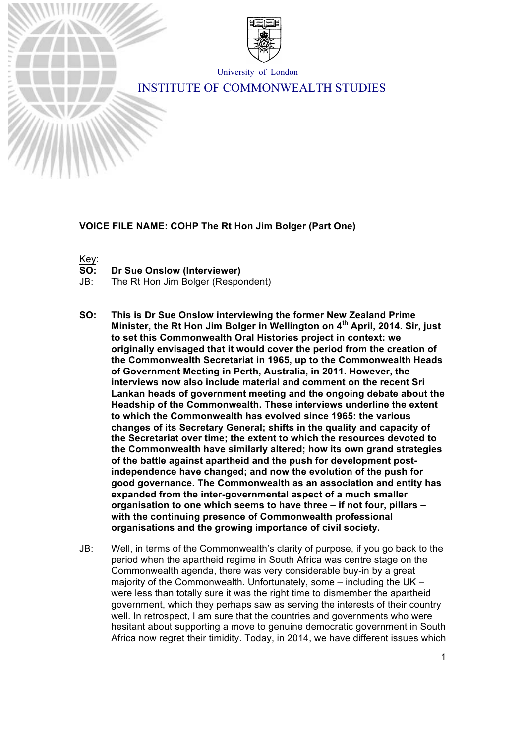

University of London

# INSTITUTE OF COMMONWEALTH STUDIES

### **VOICE FILE NAME: COHP The Rt Hon Jim Bolger (Part One)**

Key:

- **SO: Dr Sue Onslow (Interviewer)**
- JB: The Rt Hon Jim Bolger (Respondent)
- **SO: This is Dr Sue Onslow interviewing the former New Zealand Prime Minister, the Rt Hon Jim Bolger in Wellington on 4th April, 2014. Sir, just to set this Commonwealth Oral Histories project in context: we originally envisaged that it would cover the period from the creation of the Commonwealth Secretariat in 1965, up to the Commonwealth Heads of Government Meeting in Perth, Australia, in 2011. However, the interviews now also include material and comment on the recent Sri Lankan heads of government meeting and the ongoing debate about the Headship of the Commonwealth. These interviews underline the extent to which the Commonwealth has evolved since 1965: the various changes of its Secretary General; shifts in the quality and capacity of the Secretariat over time; the extent to which the resources devoted to the Commonwealth have similarly altered; how its own grand strategies of the battle against apartheid and the push for development postindependence have changed; and now the evolution of the push for good governance. The Commonwealth as an association and entity has expanded from the inter-governmental aspect of a much smaller organisation to one which seems to have three – if not four, pillars – with the continuing presence of Commonwealth professional organisations and the growing importance of civil society.**
- JB: Well, in terms of the Commonwealth's clarity of purpose, if you go back to the period when the apartheid regime in South Africa was centre stage on the Commonwealth agenda, there was very considerable buy-in by a great majority of the Commonwealth. Unfortunately, some – including the UK – were less than totally sure it was the right time to dismember the apartheid government, which they perhaps saw as serving the interests of their country well. In retrospect, I am sure that the countries and governments who were hesitant about supporting a move to genuine democratic government in South Africa now regret their timidity. Today, in 2014, we have different issues which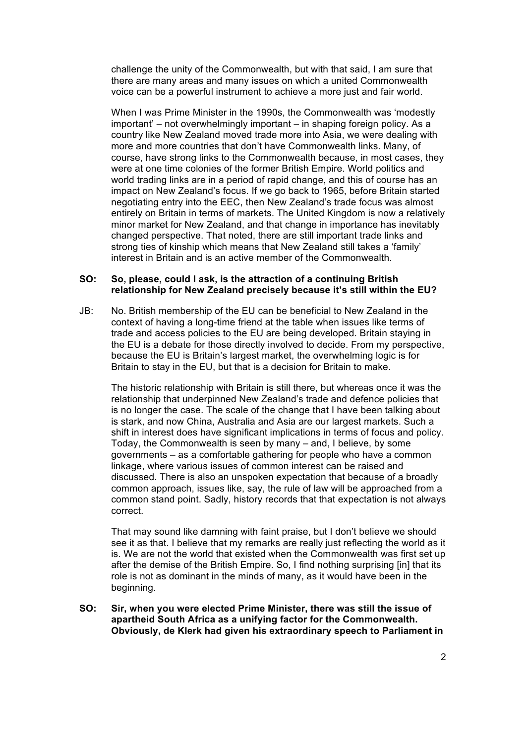challenge the unity of the Commonwealth, but with that said, I am sure that there are many areas and many issues on which a united Commonwealth voice can be a powerful instrument to achieve a more just and fair world.

When I was Prime Minister in the 1990s, the Commonwealth was 'modestly important' – not overwhelmingly important – in shaping foreign policy. As a country like New Zealand moved trade more into Asia, we were dealing with more and more countries that don't have Commonwealth links. Many, of course, have strong links to the Commonwealth because, in most cases, they were at one time colonies of the former British Empire. World politics and world trading links are in a period of rapid change, and this of course has an impact on New Zealand's focus. If we go back to 1965, before Britain started negotiating entry into the EEC, then New Zealand's trade focus was almost entirely on Britain in terms of markets. The United Kingdom is now a relatively minor market for New Zealand, and that change in importance has inevitably changed perspective. That noted, there are still important trade links and strong ties of kinship which means that New Zealand still takes a 'family' interest in Britain and is an active member of the Commonwealth.

### **SO: So, please, could I ask, is the attraction of a continuing British relationship for New Zealand precisely because it's still within the EU?**

JB: No. British membership of the EU can be beneficial to New Zealand in the context of having a long-time friend at the table when issues like terms of trade and access policies to the EU are being developed. Britain staying in the EU is a debate for those directly involved to decide. From my perspective, because the EU is Britain's largest market, the overwhelming logic is for Britain to stay in the EU, but that is a decision for Britain to make.

The historic relationship with Britain is still there, but whereas once it was the relationship that underpinned New Zealand's trade and defence policies that is no longer the case. The scale of the change that I have been talking about is stark, and now China, Australia and Asia are our largest markets. Such a shift in interest does have significant implications in terms of focus and policy. Today, the Commonwealth is seen by many – and, I believe, by some governments – as a comfortable gathering for people who have a common linkage, where various issues of common interest can be raised and discussed. There is also an unspoken expectation that because of a broadly common approach, issues like, say, the rule of law will be approached from a common stand point. Sadly, history records that that expectation is not always correct.

That may sound like damning with faint praise, but I don't believe we should see it as that. I believe that my remarks are really just reflecting the world as it is. We are not the world that existed when the Commonwealth was first set up after the demise of the British Empire. So, I find nothing surprising [in] that its role is not as dominant in the minds of many, as it would have been in the beginning.

**SO: Sir, when you were elected Prime Minister, there was still the issue of apartheid South Africa as a unifying factor for the Commonwealth. Obviously, de Klerk had given his extraordinary speech to Parliament in**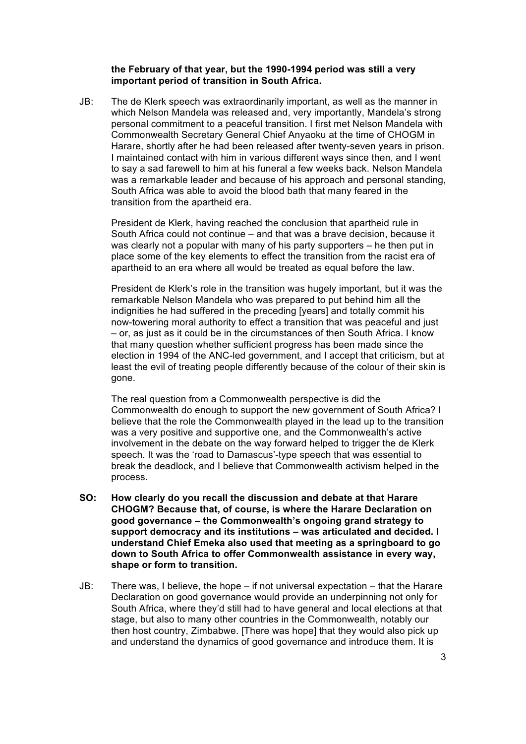### **the February of that year, but the 1990-1994 period was still a very important period of transition in South Africa.**

JB: The de Klerk speech was extraordinarily important, as well as the manner in which Nelson Mandela was released and, very importantly, Mandela's strong personal commitment to a peaceful transition. I first met Nelson Mandela with Commonwealth Secretary General Chief Anyaoku at the time of CHOGM in Harare, shortly after he had been released after twenty-seven years in prison. I maintained contact with him in various different ways since then, and I went to say a sad farewell to him at his funeral a few weeks back. Nelson Mandela was a remarkable leader and because of his approach and personal standing, South Africa was able to avoid the blood bath that many feared in the transition from the apartheid era.

President de Klerk, having reached the conclusion that apartheid rule in South Africa could not continue – and that was a brave decision, because it was clearly not a popular with many of his party supporters – he then put in place some of the key elements to effect the transition from the racist era of apartheid to an era where all would be treated as equal before the law.

President de Klerk's role in the transition was hugely important, but it was the remarkable Nelson Mandela who was prepared to put behind him all the indignities he had suffered in the preceding [years] and totally commit his now-towering moral authority to effect a transition that was peaceful and just – or, as just as it could be in the circumstances of then South Africa. I know that many question whether sufficient progress has been made since the election in 1994 of the ANC-led government, and I accept that criticism, but at least the evil of treating people differently because of the colour of their skin is gone.

The real question from a Commonwealth perspective is did the Commonwealth do enough to support the new government of South Africa? I believe that the role the Commonwealth played in the lead up to the transition was a very positive and supportive one, and the Commonwealth's active involvement in the debate on the way forward helped to trigger the de Klerk speech. It was the 'road to Damascus'-type speech that was essential to break the deadlock, and I believe that Commonwealth activism helped in the process.

- **SO: How clearly do you recall the discussion and debate at that Harare CHOGM? Because that, of course, is where the Harare Declaration on good governance – the Commonwealth's ongoing grand strategy to support democracy and its institutions – was articulated and decided. I understand Chief Emeka also used that meeting as a springboard to go down to South Africa to offer Commonwealth assistance in every way, shape or form to transition.**
- JB: There was, I believe, the hope if not universal expectation that the Harare Declaration on good governance would provide an underpinning not only for South Africa, where they'd still had to have general and local elections at that stage, but also to many other countries in the Commonwealth, notably our then host country, Zimbabwe. [There was hope] that they would also pick up and understand the dynamics of good governance and introduce them. It is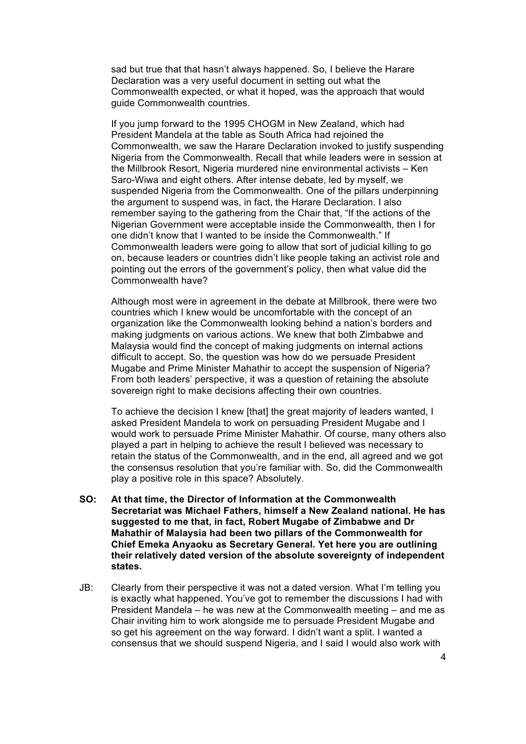sad but true that that hasn't always happened. So, I believe the Harare Declaration was a very useful document in setting out what the Commonwealth expected, or what it hoped, was the approach that would guide Commonwealth countries.

If you jump forward to the 1995 CHOGM in New Zealand, which had President Mandela at the table as South Africa had rejoined the Commonwealth, we saw the Harare Declaration invoked to justify suspending Nigeria from the Commonwealth. Recall that while leaders were in session at the Millbrook Resort, Nigeria murdered nine environmental activists – Ken Saro-Wiwa and eight others. After intense debate, led by myself, we suspended Nigeria from the Commonwealth. One of the pillars underpinning the argument to suspend was, in fact, the Harare Declaration. I also remember saying to the gathering from the Chair that, "If the actions of the Nigerian Government were acceptable inside the Commonwealth, then I for one didn't know that I wanted to be inside the Commonwealth." If Commonwealth leaders were going to allow that sort of judicial killing to go on, because leaders or countries didn't like people taking an activist role and pointing out the errors of the government's policy, then what value did the Commonwealth have?

Although most were in agreement in the debate at Millbrook, there were two countries which I knew would be uncomfortable with the concept of an organization like the Commonwealth looking behind a nation's borders and making judgments on various actions. We knew that both Zimbabwe and Malaysia would find the concept of making judgments on internal actions difficult to accept. So, the question was how do we persuade President Mugabe and Prime Minister Mahathir to accept the suspension of Nigeria? From both leaders' perspective, it was a question of retaining the absolute sovereign right to make decisions affecting their own countries.

To achieve the decision I knew [that] the great majority of leaders wanted, I asked President Mandela to work on persuading President Mugabe and I would work to persuade Prime Minister Mahathir. Of course, many others also played a part in helping to achieve the result I believed was necessary to retain the status of the Commonwealth, and in the end, all agreed and we got the consensus resolution that you're familiar with. So, did the Commonwealth play a positive role in this space? Absolutely.

- **SO: At that time, the Director of Information at the Commonwealth Secretariat was Michael Fathers, himself a New Zealand national. He has suggested to me that, in fact, Robert Mugabe of Zimbabwe and Dr Mahathir of Malaysia had been two pillars of the Commonwealth for Chief Emeka Anyaoku as Secretary General. Yet here you are outlining their relatively dated version of the absolute sovereignty of independent states.**
- JB: Clearly from their perspective it was not a dated version. What I'm telling you is exactly what happened. You've got to remember the discussions I had with President Mandela – he was new at the Commonwealth meeting – and me as Chair inviting him to work alongside me to persuade President Mugabe and so get his agreement on the way forward. I didn't want a split. I wanted a consensus that we should suspend Nigeria, and I said I would also work with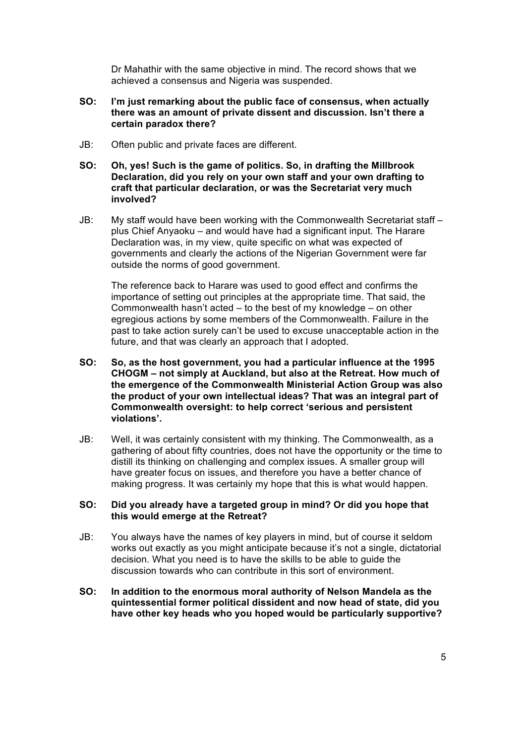Dr Mahathir with the same objective in mind. The record shows that we achieved a consensus and Nigeria was suspended.

- **SO: I'm just remarking about the public face of consensus, when actually there was an amount of private dissent and discussion. Isn't there a certain paradox there?**
- JB: Often public and private faces are different.
- **SO: Oh, yes! Such is the game of politics. So, in drafting the Millbrook Declaration, did you rely on your own staff and your own drafting to craft that particular declaration, or was the Secretariat very much involved?**
- JB: My staff would have been working with the Commonwealth Secretariat staff plus Chief Anyaoku – and would have had a significant input. The Harare Declaration was, in my view, quite specific on what was expected of governments and clearly the actions of the Nigerian Government were far outside the norms of good government.

The reference back to Harare was used to good effect and confirms the importance of setting out principles at the appropriate time. That said, the Commonwealth hasn't acted – to the best of my knowledge – on other egregious actions by some members of the Commonwealth. Failure in the past to take action surely can't be used to excuse unacceptable action in the future, and that was clearly an approach that I adopted.

- **SO: So, as the host government, you had a particular influence at the 1995 CHOGM – not simply at Auckland, but also at the Retreat. How much of the emergence of the Commonwealth Ministerial Action Group was also the product of your own intellectual ideas? That was an integral part of Commonwealth oversight: to help correct 'serious and persistent violations'.**
- JB: Well, it was certainly consistent with my thinking. The Commonwealth, as a gathering of about fifty countries, does not have the opportunity or the time to distill its thinking on challenging and complex issues. A smaller group will have greater focus on issues, and therefore you have a better chance of making progress. It was certainly my hope that this is what would happen.

### **SO: Did you already have a targeted group in mind? Or did you hope that this would emerge at the Retreat?**

- JB: You always have the names of key players in mind, but of course it seldom works out exactly as you might anticipate because it's not a single, dictatorial decision. What you need is to have the skills to be able to guide the discussion towards who can contribute in this sort of environment.
- **SO: In addition to the enormous moral authority of Nelson Mandela as the quintessential former political dissident and now head of state, did you have other key heads who you hoped would be particularly supportive?**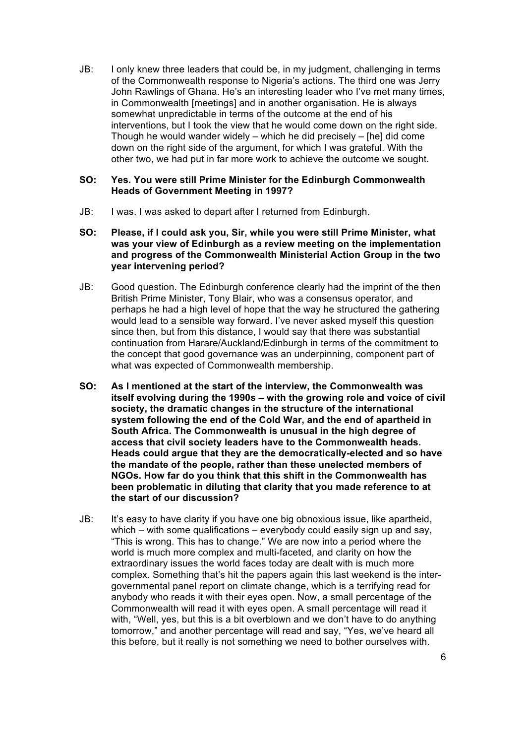JB: I only knew three leaders that could be, in my judgment, challenging in terms of the Commonwealth response to Nigeria's actions. The third one was Jerry John Rawlings of Ghana. He's an interesting leader who I've met many times, in Commonwealth [meetings] and in another organisation. He is always somewhat unpredictable in terms of the outcome at the end of his interventions, but I took the view that he would come down on the right side. Though he would wander widely – which he did precisely – [he] did come down on the right side of the argument, for which I was grateful. With the other two, we had put in far more work to achieve the outcome we sought.

### **SO: Yes. You were still Prime Minister for the Edinburgh Commonwealth Heads of Government Meeting in 1997?**

- JB: I was. I was asked to depart after I returned from Edinburgh.
- **SO: Please, if I could ask you, Sir, while you were still Prime Minister, what was your view of Edinburgh as a review meeting on the implementation and progress of the Commonwealth Ministerial Action Group in the two year intervening period?**
- JB: Good question. The Edinburgh conference clearly had the imprint of the then British Prime Minister, Tony Blair, who was a consensus operator, and perhaps he had a high level of hope that the way he structured the gathering would lead to a sensible way forward. I've never asked myself this question since then, but from this distance, I would say that there was substantial continuation from Harare/Auckland/Edinburgh in terms of the commitment to the concept that good governance was an underpinning, component part of what was expected of Commonwealth membership.
- **SO: As I mentioned at the start of the interview, the Commonwealth was itself evolving during the 1990s – with the growing role and voice of civil society, the dramatic changes in the structure of the international system following the end of the Cold War, and the end of apartheid in South Africa. The Commonwealth is unusual in the high degree of access that civil society leaders have to the Commonwealth heads. Heads could argue that they are the democratically-elected and so have the mandate of the people, rather than these unelected members of NGOs. How far do you think that this shift in the Commonwealth has been problematic in diluting that clarity that you made reference to at the start of our discussion?**
- JB: It's easy to have clarity if you have one big obnoxious issue, like apartheid, which – with some qualifications – everybody could easily sign up and say, "This is wrong. This has to change." We are now into a period where the world is much more complex and multi-faceted, and clarity on how the extraordinary issues the world faces today are dealt with is much more complex. Something that's hit the papers again this last weekend is the intergovernmental panel report on climate change, which is a terrifying read for anybody who reads it with their eyes open. Now, a small percentage of the Commonwealth will read it with eyes open. A small percentage will read it with, "Well, yes, but this is a bit overblown and we don't have to do anything tomorrow," and another percentage will read and say, "Yes, we've heard all this before, but it really is not something we need to bother ourselves with.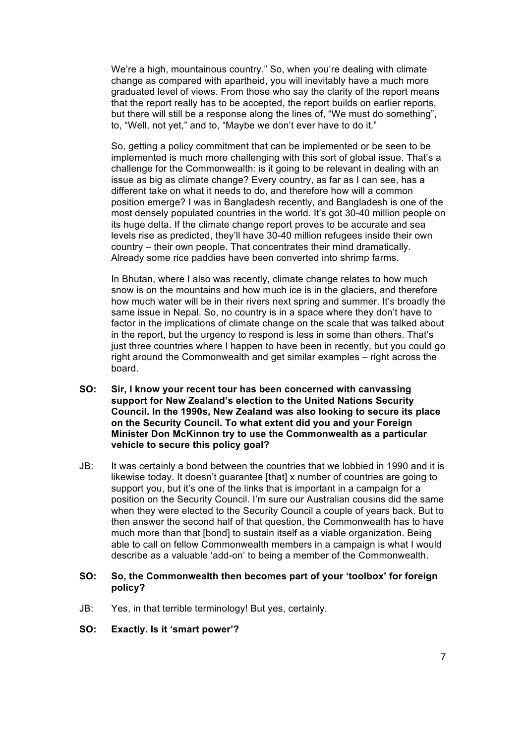We're a high, mountainous country." So, when you're dealing with climate change as compared with apartheid, you will inevitably have a much more graduated level of views. From those who say the clarity of the report means that the report really has to be accepted, the report builds on earlier reports, but there will still be a response along the lines of, "We must do something", to, "Well, not yet," and to, "Maybe we don't ever have to do it."

So, getting a policy commitment that can be implemented or be seen to be implemented is much more challenging with this sort of global issue. That's a challenge for the Commonwealth: is it going to be relevant in dealing with an issue as big as climate change? Every country, as far as I can see, has a different take on what it needs to do, and therefore how will a common position emerge? I was in Bangladesh recently, and Bangladesh is one of the most densely populated countries in the world. It's got 30-40 million people on its huge delta. If the climate change report proves to be accurate and sea levels rise as predicted, they'll have 30-40 million refugees inside their own country – their own people. That concentrates their mind dramatically. Already some rice paddies have been converted into shrimp farms.

In Bhutan, where I also was recently, climate change relates to how much snow is on the mountains and how much ice is in the glaciers, and therefore how much water will be in their rivers next spring and summer. It's broadly the same issue in Nepal. So, no country is in a space where they don't have to factor in the implications of climate change on the scale that was talked about in the report, but the urgency to respond is less in some than others. That's just three countries where I happen to have been in recently, but you could go right around the Commonwealth and get similar examples – right across the board.

- **SO: Sir, I know your recent tour has been concerned with canvassing support for New Zealand's election to the United Nations Security Council. In the 1990s, New Zealand was also looking to secure its place on the Security Council. To what extent did you and your Foreign Minister Don McKinnon try to use the Commonwealth as a particular vehicle to secure this policy goal?**
- JB: It was certainly a bond between the countries that we lobbied in 1990 and it is likewise today. It doesn't guarantee [that] x number of countries are going to support you, but it's one of the links that is important in a campaign for a position on the Security Council. I'm sure our Australian cousins did the same when they were elected to the Security Council a couple of years back. But to then answer the second half of that question, the Commonwealth has to have much more than that [bond] to sustain itself as a viable organization. Being able to call on fellow Commonwealth members in a campaign is what I would describe as a valuable 'add-on' to being a member of the Commonwealth.
- **SO: So, the Commonwealth then becomes part of your 'toolbox' for foreign policy?**
- JB: Yes, in that terrible terminology! But yes, certainly.
- **SO: Exactly. Is it 'smart power'?**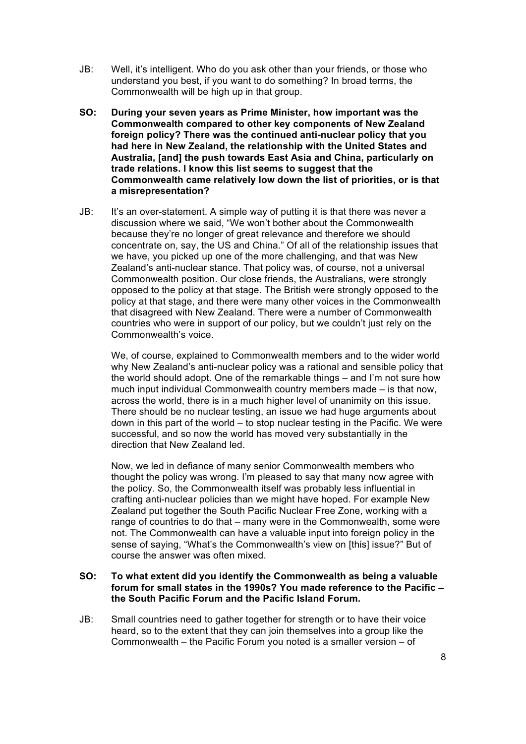- JB: Well, it's intelligent. Who do you ask other than your friends, or those who understand you best, if you want to do something? In broad terms, the Commonwealth will be high up in that group.
- **SO: During your seven years as Prime Minister, how important was the Commonwealth compared to other key components of New Zealand foreign policy? There was the continued anti-nuclear policy that you had here in New Zealand, the relationship with the United States and Australia, [and] the push towards East Asia and China, particularly on trade relations. I know this list seems to suggest that the Commonwealth came relatively low down the list of priorities, or is that a misrepresentation?**
- JB: It's an over-statement. A simple way of putting it is that there was never a discussion where we said, "We won't bother about the Commonwealth because they're no longer of great relevance and therefore we should concentrate on, say, the US and China." Of all of the relationship issues that we have, you picked up one of the more challenging, and that was New Zealand's anti-nuclear stance. That policy was, of course, not a universal Commonwealth position. Our close friends, the Australians, were strongly opposed to the policy at that stage. The British were strongly opposed to the policy at that stage, and there were many other voices in the Commonwealth that disagreed with New Zealand. There were a number of Commonwealth countries who were in support of our policy, but we couldn't just rely on the Commonwealth's voice.

We, of course, explained to Commonwealth members and to the wider world why New Zealand's anti-nuclear policy was a rational and sensible policy that the world should adopt. One of the remarkable things – and I'm not sure how much input individual Commonwealth country members made – is that now, across the world, there is in a much higher level of unanimity on this issue. There should be no nuclear testing, an issue we had huge arguments about down in this part of the world – to stop nuclear testing in the Pacific. We were successful, and so now the world has moved very substantially in the direction that New Zealand led.

Now, we led in defiance of many senior Commonwealth members who thought the policy was wrong. I'm pleased to say that many now agree with the policy. So, the Commonwealth itself was probably less influential in crafting anti-nuclear policies than we might have hoped. For example New Zealand put together the South Pacific Nuclear Free Zone, working with a range of countries to do that – many were in the Commonwealth, some were not. The Commonwealth can have a valuable input into foreign policy in the sense of saying, "What's the Commonwealth's view on [this] issue?" But of course the answer was often mixed.

# **SO: To what extent did you identify the Commonwealth as being a valuable forum for small states in the 1990s? You made reference to the Pacific – the South Pacific Forum and the Pacific Island Forum.**

JB: Small countries need to gather together for strength or to have their voice heard, so to the extent that they can join themselves into a group like the Commonwealth – the Pacific Forum you noted is a smaller version – of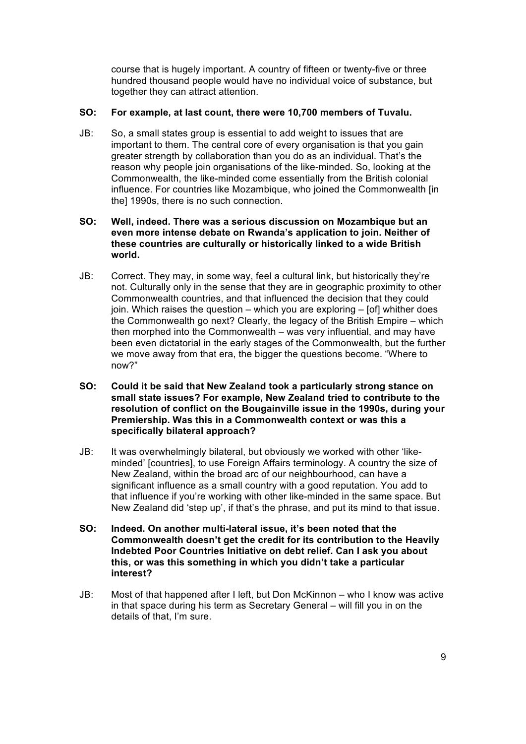course that is hugely important. A country of fifteen or twenty-five or three hundred thousand people would have no individual voice of substance, but together they can attract attention.

# **SO: For example, at last count, there were 10,700 members of Tuvalu.**

JB: So, a small states group is essential to add weight to issues that are important to them. The central core of every organisation is that you gain greater strength by collaboration than you do as an individual. That's the reason why people join organisations of the like-minded. So, looking at the Commonwealth, the like-minded come essentially from the British colonial influence. For countries like Mozambique, who joined the Commonwealth [in the] 1990s, there is no such connection.

# **SO: Well, indeed. There was a serious discussion on Mozambique but an even more intense debate on Rwanda's application to join. Neither of these countries are culturally or historically linked to a wide British world.**

- JB: Correct. They may, in some way, feel a cultural link, but historically they're not. Culturally only in the sense that they are in geographic proximity to other Commonwealth countries, and that influenced the decision that they could join. Which raises the question – which you are exploring – [of] whither does the Commonwealth go next? Clearly, the legacy of the British Empire – which then morphed into the Commonwealth – was very influential, and may have been even dictatorial in the early stages of the Commonwealth, but the further we move away from that era, the bigger the questions become. "Where to now?"
- **SO: Could it be said that New Zealand took a particularly strong stance on small state issues? For example, New Zealand tried to contribute to the resolution of conflict on the Bougainville issue in the 1990s, during your Premiership. Was this in a Commonwealth context or was this a specifically bilateral approach?**
- JB: It was overwhelmingly bilateral, but obviously we worked with other 'likeminded' [countries], to use Foreign Affairs terminology. A country the size of New Zealand, within the broad arc of our neighbourhood, can have a significant influence as a small country with a good reputation. You add to that influence if you're working with other like-minded in the same space. But New Zealand did 'step up', if that's the phrase, and put its mind to that issue.
- **SO: Indeed. On another multi-lateral issue, it's been noted that the Commonwealth doesn't get the credit for its contribution to the Heavily Indebted Poor Countries Initiative on debt relief. Can I ask you about this, or was this something in which you didn't take a particular interest?**
- JB: Most of that happened after I left, but Don McKinnon who I know was active in that space during his term as Secretary General – will fill you in on the details of that, I'm sure.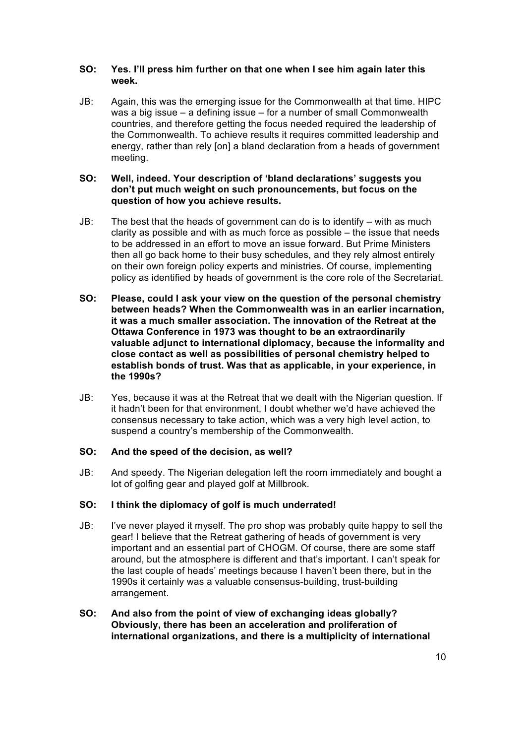# **SO: Yes. I'll press him further on that one when I see him again later this week.**

JB: Again, this was the emerging issue for the Commonwealth at that time. HIPC was a big issue – a defining issue – for a number of small Commonwealth countries, and therefore getting the focus needed required the leadership of the Commonwealth. To achieve results it requires committed leadership and energy, rather than rely [on] a bland declaration from a heads of government meeting.

# **SO: Well, indeed. Your description of 'bland declarations' suggests you don't put much weight on such pronouncements, but focus on the question of how you achieve results.**

- JB: The best that the heads of government can do is to identify with as much clarity as possible and with as much force as possible – the issue that needs to be addressed in an effort to move an issue forward. But Prime Ministers then all go back home to their busy schedules, and they rely almost entirely on their own foreign policy experts and ministries. Of course, implementing policy as identified by heads of government is the core role of the Secretariat.
- **SO: Please, could I ask your view on the question of the personal chemistry between heads? When the Commonwealth was in an earlier incarnation, it was a much smaller association. The innovation of the Retreat at the Ottawa Conference in 1973 was thought to be an extraordinarily valuable adjunct to international diplomacy, because the informality and close contact as well as possibilities of personal chemistry helped to establish bonds of trust. Was that as applicable, in your experience, in the 1990s?**
- JB: Yes, because it was at the Retreat that we dealt with the Nigerian question. If it hadn't been for that environment, I doubt whether we'd have achieved the consensus necessary to take action, which was a very high level action, to suspend a country's membership of the Commonwealth.

# **SO: And the speed of the decision, as well?**

JB: And speedy. The Nigerian delegation left the room immediately and bought a lot of golfing gear and played golf at Millbrook.

# **SO: I think the diplomacy of golf is much underrated!**

- JB: I've never played it myself*.* The pro shop was probably quite happy to sell the gear! I believe that the Retreat gathering of heads of government is very important and an essential part of CHOGM. Of course, there are some staff around, but the atmosphere is different and that's important. I can't speak for the last couple of heads' meetings because I haven't been there, but in the 1990s it certainly was a valuable consensus-building, trust-building arrangement.
- **SO: And also from the point of view of exchanging ideas globally? Obviously, there has been an acceleration and proliferation of international organizations, and there is a multiplicity of international**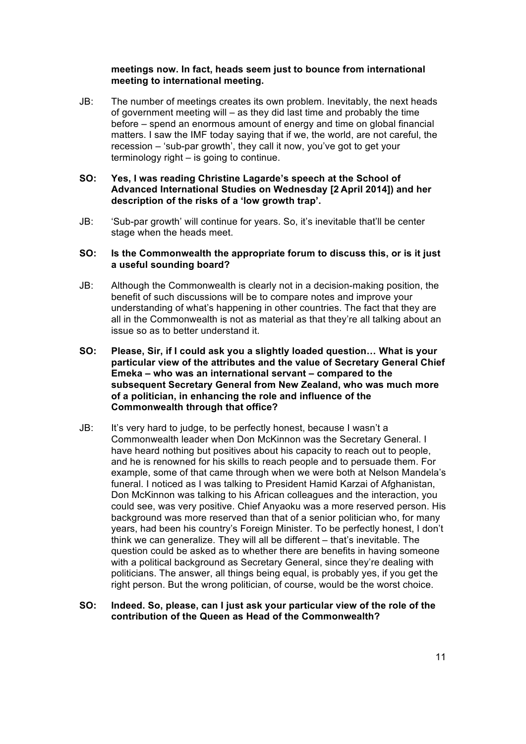# **meetings now. In fact, heads seem just to bounce from international meeting to international meeting.**

JB: The number of meetings creates its own problem. Inevitably, the next heads of government meeting will – as they did last time and probably the time before – spend an enormous amount of energy and time on global financial matters. I saw the IMF today saying that if we, the world, are not careful, the recession – 'sub-par growth', they call it now, you've got to get your terminology right – is going to continue.

# **SO: Yes, I was reading Christine Lagarde's speech at the School of Advanced International Studies on Wednesday [2 April 2014]) and her description of the risks of a 'low growth trap'.**

JB: 'Sub-par growth' will continue for years. So, it's inevitable that'll be center stage when the heads meet.

### **SO: Is the Commonwealth the appropriate forum to discuss this, or is it just a useful sounding board?**

- JB: Although the Commonwealth is clearly not in a decision-making position, the benefit of such discussions will be to compare notes and improve your understanding of what's happening in other countries. The fact that they are all in the Commonwealth is not as material as that they're all talking about an issue so as to better understand it.
- **SO: Please, Sir, if I could ask you a slightly loaded question… What is your particular view of the attributes and the value of Secretary General Chief Emeka – who was an international servant – compared to the subsequent Secretary General from New Zealand, who was much more of a politician, in enhancing the role and influence of the Commonwealth through that office?**
- JB: It's very hard to judge, to be perfectly honest, because I wasn't a Commonwealth leader when Don McKinnon was the Secretary General. I have heard nothing but positives about his capacity to reach out to people, and he is renowned for his skills to reach people and to persuade them. For example, some of that came through when we were both at Nelson Mandela's funeral. I noticed as I was talking to President Hamid Karzai of Afghanistan, Don McKinnon was talking to his African colleagues and the interaction, you could see, was very positive. Chief Anyaoku was a more reserved person. His background was more reserved than that of a senior politician who, for many years, had been his country's Foreign Minister. To be perfectly honest, I don't think we can generalize. They will all be different – that's inevitable. The question could be asked as to whether there are benefits in having someone with a political background as Secretary General, since they're dealing with politicians. The answer, all things being equal, is probably yes, if you get the right person. But the wrong politician, of course, would be the worst choice.

# **SO: Indeed. So, please, can I just ask your particular view of the role of the contribution of the Queen as Head of the Commonwealth?**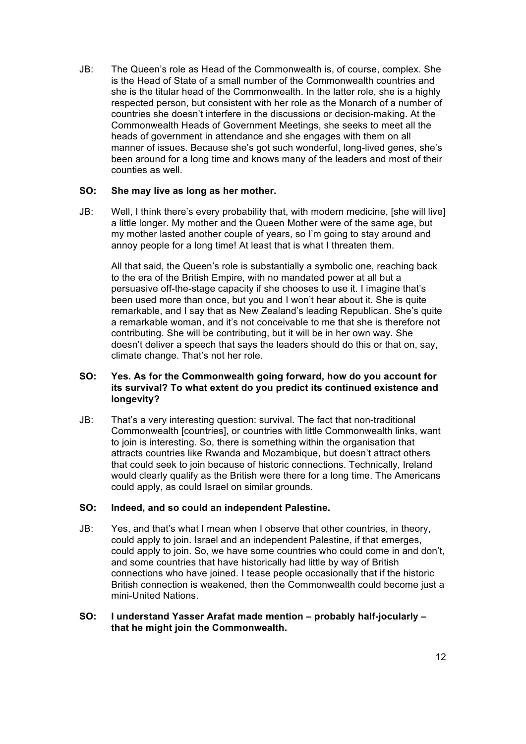JB: The Queen's role as Head of the Commonwealth is, of course, complex. She is the Head of State of a small number of the Commonwealth countries and she is the titular head of the Commonwealth. In the latter role, she is a highly respected person, but consistent with her role as the Monarch of a number of countries she doesn't interfere in the discussions or decision-making. At the Commonwealth Heads of Government Meetings, she seeks to meet all the heads of government in attendance and she engages with them on all manner of issues. Because she's got such wonderful, long-lived genes, she's been around for a long time and knows many of the leaders and most of their counties as well.

# **SO: She may live as long as her mother.**

JB: Well, I think there's every probability that, with modern medicine, [she will live] a little longer. My mother and the Queen Mother were of the same age, but my mother lasted another couple of years, so I'm going to stay around and annoy people for a long time! At least that is what I threaten them.

All that said, the Queen's role is substantially a symbolic one, reaching back to the era of the British Empire, with no mandated power at all but a persuasive off-the-stage capacity if she chooses to use it. I imagine that's been used more than once, but you and I won't hear about it. She is quite remarkable, and I say that as New Zealand's leading Republican. She's quite a remarkable woman, and it's not conceivable to me that she is therefore not contributing. She will be contributing, but it will be in her own way. She doesn't deliver a speech that says the leaders should do this or that on, say, climate change. That's not her role.

# **SO: Yes. As for the Commonwealth going forward, how do you account for its survival? To what extent do you predict its continued existence and longevity?**

JB: That's a very interesting question: survival. The fact that non-traditional Commonwealth [countries], or countries with little Commonwealth links, want to join is interesting. So, there is something within the organisation that attracts countries like Rwanda and Mozambique, but doesn't attract others that could seek to join because of historic connections. Technically, Ireland would clearly qualify as the British were there for a long time. The Americans could apply, as could Israel on similar grounds.

# **SO: Indeed, and so could an independent Palestine.**

- JB: Yes, and that's what I mean when I observe that other countries, in theory, could apply to join. Israel and an independent Palestine, if that emerges, could apply to join. So, we have some countries who could come in and don't, and some countries that have historically had little by way of British connections who have joined. I tease people occasionally that if the historic British connection is weakened, then the Commonwealth could become just a mini-United Nations.
- **SO: I understand Yasser Arafat made mention – probably half-jocularly – that he might join the Commonwealth.**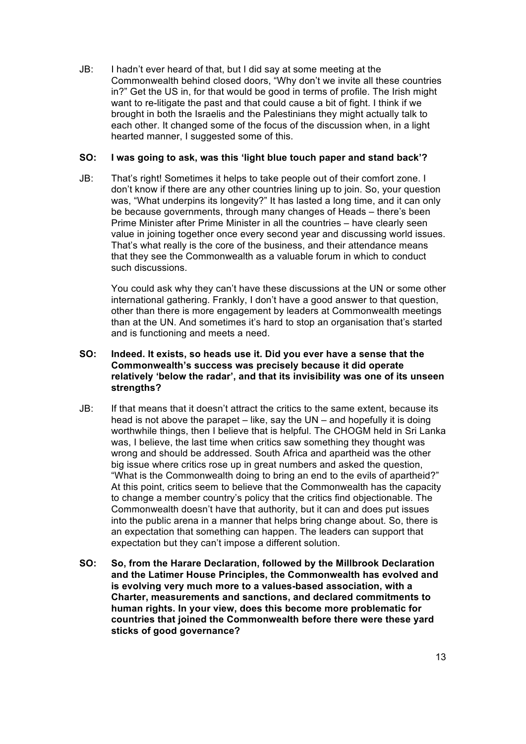JB: I hadn't ever heard of that, but I did say at some meeting at the Commonwealth behind closed doors, "Why don't we invite all these countries in?" Get the US in, for that would be good in terms of profile. The Irish might want to re-litigate the past and that could cause a bit of fight. I think if we brought in both the Israelis and the Palestinians they might actually talk to each other. It changed some of the focus of the discussion when, in a light hearted manner, I suggested some of this.

# **SO: I was going to ask, was this 'light blue touch paper and stand back'?**

JB: That's right! Sometimes it helps to take people out of their comfort zone. I don't know if there are any other countries lining up to join. So, your question was, "What underpins its longevity?" It has lasted a long time, and it can only be because governments, through many changes of Heads – there's been Prime Minister after Prime Minister in all the countries – have clearly seen value in joining together once every second year and discussing world issues. That's what really is the core of the business, and their attendance means that they see the Commonwealth as a valuable forum in which to conduct such discussions.

You could ask why they can't have these discussions at the UN or some other international gathering. Frankly, I don't have a good answer to that question, other than there is more engagement by leaders at Commonwealth meetings than at the UN. And sometimes it's hard to stop an organisation that's started and is functioning and meets a need.

# **SO: Indeed. It exists, so heads use it. Did you ever have a sense that the Commonwealth's success was precisely because it did operate relatively 'below the radar', and that its invisibility was one of its unseen strengths?**

- JB: If that means that it doesn't attract the critics to the same extent, because its head is not above the parapet – like, say the UN – and hopefully it is doing worthwhile things, then I believe that is helpful. The CHOGM held in Sri Lanka was, I believe, the last time when critics saw something they thought was wrong and should be addressed. South Africa and apartheid was the other big issue where critics rose up in great numbers and asked the question, "What is the Commonwealth doing to bring an end to the evils of apartheid?" At this point, critics seem to believe that the Commonwealth has the capacity to change a member country's policy that the critics find objectionable. The Commonwealth doesn't have that authority, but it can and does put issues into the public arena in a manner that helps bring change about. So, there is an expectation that something can happen. The leaders can support that expectation but they can't impose a different solution.
- **SO: So, from the Harare Declaration, followed by the Millbrook Declaration and the Latimer House Principles, the Commonwealth has evolved and is evolving very much more to a values-based association, with a Charter, measurements and sanctions, and declared commitments to human rights. In your view, does this become more problematic for countries that joined the Commonwealth before there were these yard sticks of good governance?**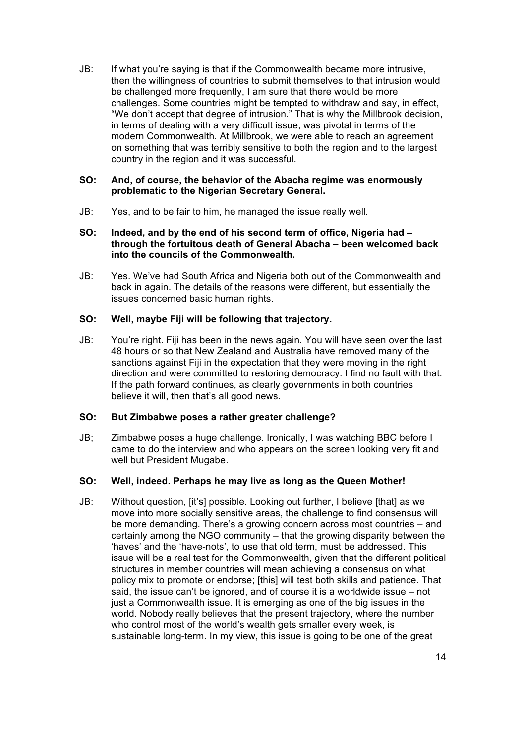JB: If what you're saying is that if the Commonwealth became more intrusive, then the willingness of countries to submit themselves to that intrusion would be challenged more frequently, I am sure that there would be more challenges. Some countries might be tempted to withdraw and say, in effect, "We don't accept that degree of intrusion." That is why the Millbrook decision, in terms of dealing with a very difficult issue, was pivotal in terms of the modern Commonwealth. At Millbrook, we were able to reach an agreement on something that was terribly sensitive to both the region and to the largest country in the region and it was successful.

### **SO: And, of course, the behavior of the Abacha regime was enormously problematic to the Nigerian Secretary General.**

JB: Yes, and to be fair to him, he managed the issue really well.

# **SO: Indeed, and by the end of his second term of office, Nigeria had – through the fortuitous death of General Abacha – been welcomed back into the councils of the Commonwealth.**

JB: Yes. We've had South Africa and Nigeria both out of the Commonwealth and back in again. The details of the reasons were different, but essentially the issues concerned basic human rights.

### **SO: Well, maybe Fiji will be following that trajectory.**

JB: You're right. Fiji has been in the news again. You will have seen over the last 48 hours or so that New Zealand and Australia have removed many of the sanctions against Fiji in the expectation that they were moving in the right direction and were committed to restoring democracy. I find no fault with that. If the path forward continues, as clearly governments in both countries believe it will, then that's all good news.

### **SO: But Zimbabwe poses a rather greater challenge?**

JB; Zimbabwe poses a huge challenge. Ironically, I was watching BBC before I came to do the interview and who appears on the screen looking very fit and well but President Mugabe.

### **SO: Well, indeed. Perhaps he may live as long as the Queen Mother!**

JB: Without question, [it's] possible. Looking out further, I believe [that] as we move into more socially sensitive areas, the challenge to find consensus will be more demanding. There's a growing concern across most countries – and certainly among the NGO community – that the growing disparity between the 'haves' and the 'have-nots', to use that old term, must be addressed. This issue will be a real test for the Commonwealth, given that the different political structures in member countries will mean achieving a consensus on what policy mix to promote or endorse; [this] will test both skills and patience. That said, the issue can't be ignored, and of course it is a worldwide issue – not just a Commonwealth issue. It is emerging as one of the big issues in the world. Nobody really believes that the present trajectory, where the number who control most of the world's wealth gets smaller every week, is sustainable long-term. In my view, this issue is going to be one of the great